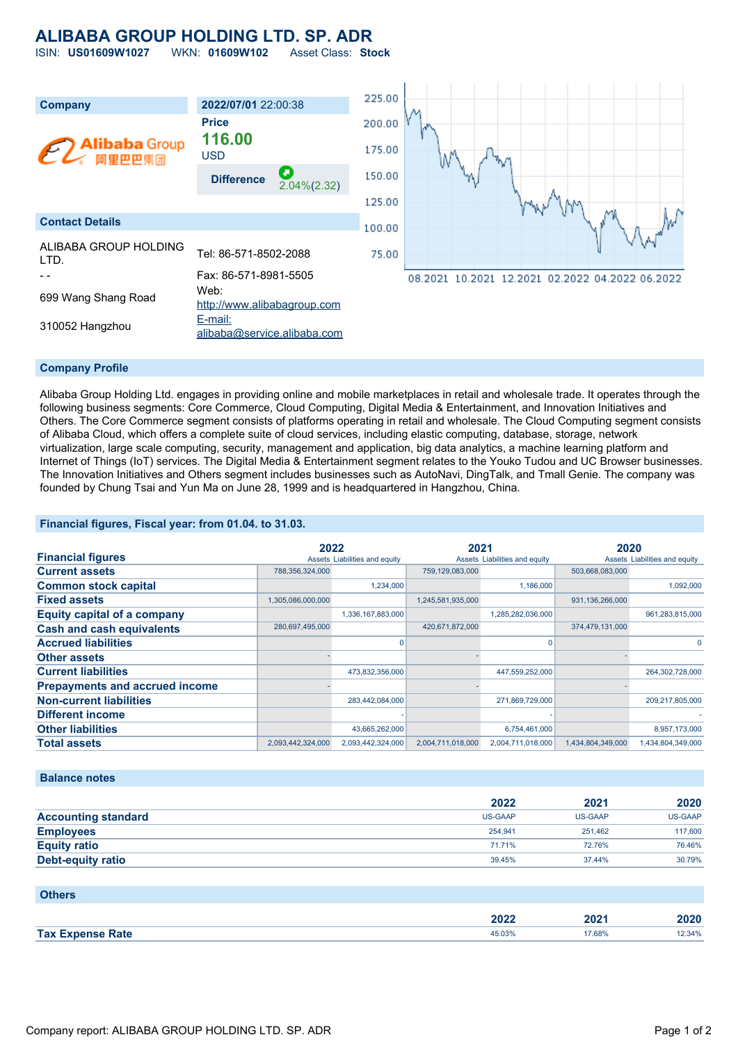## **ALIBABA GROUP HOLDING LTD. SP. ADR**

ISIN: **US01609W1027** WKN: **01609W102** Asset Class: **Stock**

| <b>Company</b>                 | 2022/07/01 22:00:38                      | 225.00 |                                                 |
|--------------------------------|------------------------------------------|--------|-------------------------------------------------|
|                                | <b>Price</b><br>116.00                   | 200.00 | æ                                               |
| <b>Alibaba</b> Group<br>阿里巴巴集团 | <b>USD</b>                               | 175.00 |                                                 |
|                                | О<br><b>Difference</b><br>$2.04\%(2.32)$ | 150.00 |                                                 |
|                                |                                          | 125.00 |                                                 |
| <b>Contact Details</b>         |                                          | 100.00 |                                                 |
| ALIBABA GROUP HOLDING<br>LTD.  | Tel: 86-571-8502-2088                    | 75.00  |                                                 |
|                                | Fax: 86-571-8981-5505                    |        | 08.2021 10.2021 12.2021 02.2022 04.2022 06.2022 |
| 699 Wang Shang Road            | Web:<br>http://www.alibabagroup.com      |        |                                                 |
| 310052 Hangzhou                | E-mail:<br>alibaba@service.alibaba.com   |        |                                                 |

### **Company Profile**

Alibaba Group Holding Ltd. engages in providing online and mobile marketplaces in retail and wholesale trade. It operates through the following business segments: Core Commerce, Cloud Computing, Digital Media & Entertainment, and Innovation Initiatives and Others. The Core Commerce segment consists of platforms operating in retail and wholesale. The Cloud Computing segment consists of Alibaba Cloud, which offers a complete suite of cloud services, including elastic computing, database, storage, network virtualization, large scale computing, security, management and application, big data analytics, a machine learning platform and Internet of Things (IoT) services. The Digital Media & Entertainment segment relates to the Youko Tudou and UC Browser businesses. The Innovation Initiatives and Others segment includes businesses such as AutoNavi, DingTalk, and Tmall Genie. The company was founded by Chung Tsai and Yun Ma on June 28, 1999 and is headquartered in Hangzhou, China.

### **Financial figures, Fiscal year: from 01.04. to 31.03.**

|                                       | 2022              |                               | 2021              |                               | 2020              |                               |
|---------------------------------------|-------------------|-------------------------------|-------------------|-------------------------------|-------------------|-------------------------------|
| <b>Financial figures</b>              |                   | Assets Liabilities and equity |                   | Assets Liabilities and equity |                   | Assets Liabilities and equity |
| <b>Current assets</b>                 | 788,356,324,000   |                               | 759,129,083,000   |                               | 503,668,083,000   |                               |
| <b>Common stock capital</b>           |                   | 1,234,000                     |                   | 1,186,000                     |                   | 1,092,000                     |
| <b>Fixed assets</b>                   | 1,305,086,000,000 |                               | 1,245,581,935,000 |                               | 931,136,266,000   |                               |
| <b>Equity capital of a company</b>    |                   | 1,336,167,883,000             |                   | 1,285,282,036,000             |                   | 961,283,815,000               |
| <b>Cash and cash equivalents</b>      | 280,697,495,000   |                               | 420,671,872,000   |                               | 374,479,131,000   |                               |
| <b>Accrued liabilities</b>            |                   | O                             |                   |                               |                   |                               |
| <b>Other assets</b>                   |                   |                               |                   |                               |                   |                               |
| <b>Current liabilities</b>            |                   | 473,832,356,000               |                   | 447,559,252,000               |                   | 264,302,728,000               |
| <b>Prepayments and accrued income</b> |                   |                               |                   |                               |                   |                               |
| <b>Non-current liabilities</b>        |                   | 283,442,084,000               |                   | 271,869,729,000               |                   | 209,217,805,000               |
| <b>Different income</b>               |                   |                               |                   |                               |                   |                               |
| <b>Other liabilities</b>              |                   | 43,665,262,000                |                   | 6,754,461,000                 |                   | 8,957,173,000                 |
| <b>Total assets</b>                   | 2,093,442,324,000 | 2,093,442,324,000             | 2,004,711,018,000 | 2,004,711,018,000             | 1,434,804,349,000 | 1,434,804,349,000             |

### **Balance notes**

|                            | 2022    | 2021    | 2020           |
|----------------------------|---------|---------|----------------|
| <b>Accounting standard</b> | US-GAAP | US-GAAP | <b>US-GAAP</b> |
| <b>Employees</b>           | 254.941 | 251.462 | 117,600        |
| <b>Equity ratio</b>        | 71.71%  | 72.76%  | 76.46%         |
| Debt-equity ratio          | 39.45%  | 37.44%  | 30.79%         |

| <b>Others</b>           |        |        |        |
|-------------------------|--------|--------|--------|
|                         | 2022   | 2021   | 2020   |
| <b>Tax Expense Rate</b> | 45.03% | 17.68% | 12.34% |